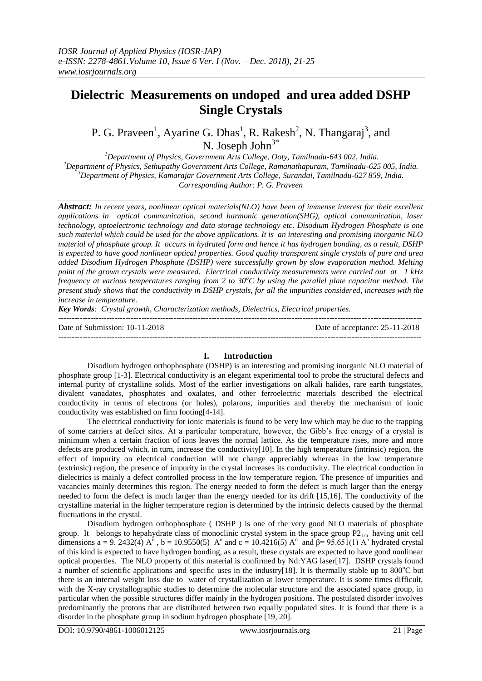# **Dielectric Measurements on undoped and urea added DSHP Single Crystals**

P. G. Praveen<sup>1</sup>, Ayarine G. Dhas<sup>1</sup>, R. Rakesh<sup>2</sup>, N. Thangaraj<sup>3</sup>, and N. Joseph John<sup>3\*</sup>

*Department of Physics, Government Arts College, Ooty, Tamilnadu-643 002, India. Department of Physics, Sethupathy Government Arts College, Ramanathapuram, Tamilnadu-625 005, India. Department of Physics, Kamarajar Government Arts College, Surandai, Tamilnadu-627 859, India. Corresponding Author: P. G. Praveen*

*Abstract: In recent years, nonlinear optical materials(NLO) have been of immense interest for their excellent applications in optical communication, second harmonic generation(SHG), optical communication, laser technology, optoelectronic technology and data storage technology etc. Disodium Hydrogen Phosphate is one such material which could be used for the above applications. It is an interesting and promising inorganic NLO material of phosphate group. It occurs in hydrated form and hence it has hydrogen bonding, as a result, DSHP is expected to have good nonlinear optical properties. Good quality transparent single crystals of pure and urea added Disodium Hydrogen Phosphate (DSHP) were successfully grown by slow evaporation method. Melting point of the grown crystals were measured. Electrical conductivity measurements were carried out at 1 kHz frequency at various temperatures ranging from 2 to 30<sup>o</sup><i>C* by using the parallel plate capacitor method. The *present study shows that the conductivity in DSHP crystals, for all the impurities considered, increases with the increase in temperature.* 

*Key Words: Crystal growth, Characterization methods, Dielectrics, Electrical properties.*

Date of Submission: 10-11-2018 Date of acceptance: 25-11-2018

#### ---------------------------------------------------------------------------------------------------------------------------------------

## **I. Introduction**

---------------------------------------------------------------------------------------------------------------------------------------

Disodium hydrogen orthophosphate (DSHP) is an interesting and promising inorganic NLO material of phosphate group [1-3]. Electrical conductivity is an elegant experimental tool to probe the structural defects and internal purity of crystalline solids. Most of the earlier investigations on alkali halides, rare earth tungstates, divalent vanadates, phosphates and oxalates, and other ferroelectric materials described the electrical conductivity in terms of electrons (or holes), polarons, impurities and thereby the mechanism of ionic conductivity was established on firm footing[4-14].

The electrical conductivity for ionic materials is found to be very low which may be due to the trapping of some carriers at defect sites. At a particular temperature, however, the Gibb's free energy of a crystal is minimum when a certain fraction of ions leaves the normal lattice. As the temperature rises, more and more defects are produced which, in turn, increase the conductivity[10]. In the high temperature (intrinsic) region, the effect of impurity on electrical conduction will not change appreciably whereas in the low temperature (extrinsic) region, the presence of impurity in the crystal increases its conductivity. The electrical conduction in dielectrics is mainly a defect controlled process in the low temperature region. The presence of impurities and vacancies mainly determines this region. The energy needed to form the defect is much larger than the energy needed to form the defect is much larger than the energy needed for its drift [15,16]. The conductivity of the crystalline material in the higher temperature region is determined by the intrinsic defects caused by the thermal fluctuations in the crystal.

Disodium hydrogen orthophosphate ( DSHP ) is one of the very good NLO materials of phosphate group. It belongs to hepahydrate class of monoclinic crystal system in the space group  $P2_{1/n}$  having unit cell dimensions a = 9. 2432(4)  $A^{\circ}$ , b = 10.9550(5)  $A^{\circ}$  and c = 10.4216(5)  $A^{\circ}$  and  $\beta$ = 95.651(1)  $A^{\circ}$  hydrated crystal of this kind is expected to have hydrogen bonding, as a result, these crystals are expected to have good nonlinear optical properties. The NLO property of this material is confirmed by Nd:YAG laser[17]. DSHP crystals found a number of scientific applications and specific uses in the industry[18]. It is thermally stable up to  $800^{\circ}$ C but there is an internal weight loss due to water of crystallization at lower temperature. It is some times difficult, with the X-ray crystallographic studies to determine the molecular structure and the associated space group, in particular when the possible structures differ mainly in the hydrogen positions. The postulated disorder involves predominantly the protons that are distributed between two equally populated sites. It is found that there is a disorder in the phosphate group in sodium hydrogen phosphate [19, 20].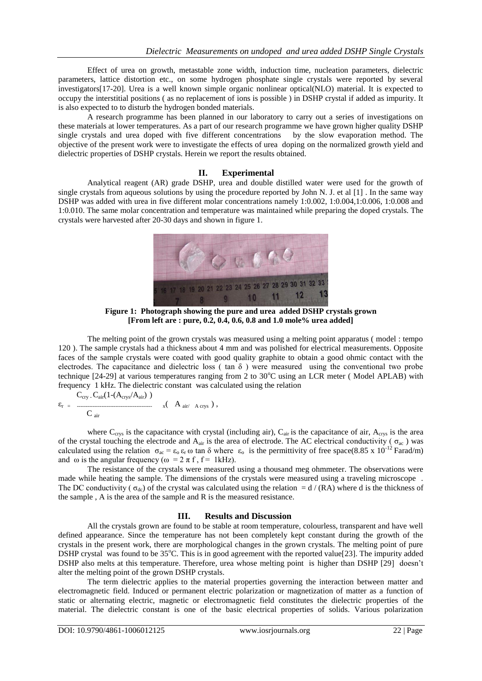Effect of urea on growth, metastable zone width, induction time, nucleation parameters, dielectric parameters, lattice distortion etc., on some hydrogen phosphate single crystals were reported by several investigators[17-20]. Urea is a well known simple organic nonlinear optical(NLO) material. It is expected to occupy the interstitial positions ( as no replacement of ions is possible ) in DSHP crystal if added as impurity. It is also expected to to disturb the hydrogen bonded materials.

A research programme has been planned in our laboratory to carry out a series of investigations on these materials at lower temperatures. As a part of our research programme we have grown higher quality DSHP single crystals and urea doped with five different concentrations by the slow evaporation method. The objective of the present work were to investigate the effects of urea doping on the normalized growth yield and dielectric properties of DSHP crystals. Herein we report the results obtained.

## **II. Experimental**

Analytical reagent (AR) grade DSHP, urea and double distilled water were used for the growth of single crystals from aqueous solutions by using the procedure reported by John N. J. et al [1] . In the same way DSHP was added with urea in five different molar concentrations namely 1:0.002, 1:0.004,1:0.006, 1:0.008 and 1:0.010. The same molar concentration and temperature was maintained while preparing the doped crystals. The crystals were harvested after 20-30 days and shown in figure 1.



**Figure 1: Photograph showing the pure and urea added DSHP crystals grown [From left are : pure, 0.2, 0.4, 0.6, 0.8 and 1.0 mole% urea added]**

The melting point of the grown crystals was measured using a melting point apparatus ( model : tempo 120 ). The sample crystals had a thickness about 4 mm and was polished for electrical measurements. Opposite faces of the sample crystals were coated with good quality graphite to obtain a good ohmic contact with the electrodes. The capacitance and dielectric loss ( $\tan \delta$ ) were measured using the conventional two probe technique [24-29] at various temperatures ranging from 2 to 30°C using an LCR meter (Model APLAB) with frequency 1 kHz. The dielectric constant was calculated using the relation  $C \cdot (1-(\Delta - / \Delta_{\text{min}})))$ 

$$
\epsilon_{r} = \frac{C_{\text{cry}} C_{\text{air}} (1 - (A_{\text{crys}}/A_{\text{air}}))}{C_{\text{air}}} \quad x \quad A_{\text{air}} \quad A_{\text{crys}}),
$$

where  $C_{\text{crys}}$  is the capacitance with crystal (including air),  $C_{\text{air}}$  is the capacitance of air,  $A_{\text{crys}}$  is the area of the crystal touching the electrode and  $A_{air}$  is the area of electrode. The AC electrical conductivity ( $\sigma_{ac}$ ) was calculated using the relation  $\sigma_{ac} = \epsilon_0 \epsilon_r \omega \tan \delta$  where  $\epsilon_0$  is the permittivity of free space(8.85 x 10<sup>-12</sup> Farad/m) and  $\omega$  is the angular frequency ( $\omega = 2 \pi f$ ,  $f = 1$ kHz).

The resistance of the crystals were measured using a thousand meg ohmmeter. The observations were made while heating the sample. The dimensions of the crystals were measured using a traveling microscope . The DC conductivity ( $\sigma_{dc}$ ) of the crystal was calculated using the relation = d / (RA) where d is the thickness of the sample , A is the area of the sample and R is the measured resistance.

## **III. Results and Discussion**

All the crystals grown are found to be stable at room temperature, colourless, transparent and have well defined appearance. Since the temperature has not been completely kept constant during the growth of the crystals in the present work, there are morphological changes in the grown crystals. The melting point of pure DSHP crystal was found to be  $35^{\circ}$ C. This is in good agreement with the reported value[23]. The impurity added DSHP also melts at this temperature. Therefore, urea whose melting point is higher than DSHP [29] doesn't alter the melting point of the grown DSHP crystals.

The term dielectric applies to the material properties governing the interaction between matter and electromagnetic field. Induced or permanent electric polarization or magnetization of matter as a function of static or alternating electric, magnetic or electromagnetic field constitutes the dielectric properties of the material. The dielectric constant is one of the basic electrical properties of solids. Various polarization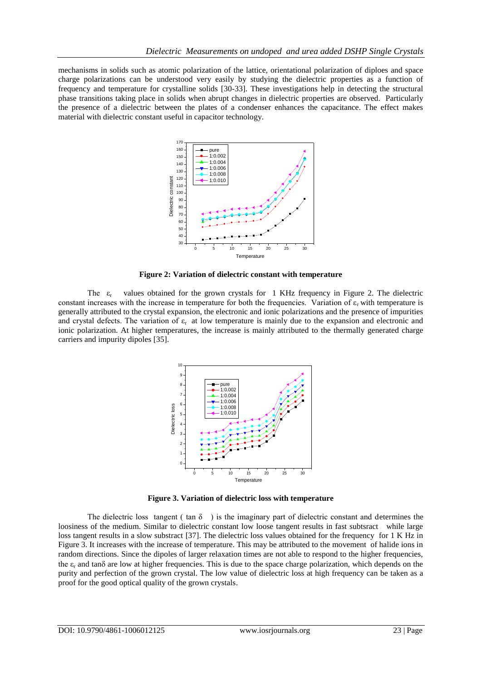mechanisms in solids such as atomic polarization of the lattice, orientational polarization of diploes and space charge polarizations can be understood very easily by studying the dielectric properties as a function of frequency and temperature for crystalline solids [30-33]. These investigations help in detecting the structural phase transitions taking place in solids when abrupt changes in dielectric properties are observed. Particularly the presence of a dielectric between the plates of a condenser enhances the capacitance. The effect makes material with dielectric constant useful in capacitor technology.



**Figure 2: Variation of dielectric constant with temperature**

The  $\varepsilon_r$  values obtained for the grown crystals for 1 KHz frequency in Figure 2. The dielectric constant increases with the increase in temperature for both the frequencies. Variation of  $\varepsilon_r$  with temperature is generally attributed to the crystal expansion, the electronic and ionic polarizations and the presence of impurities and crystal defects. The variation of  $\varepsilon_r$  at low temperature is mainly due to the expansion and electronic and ionic polarization. At higher temperatures, the increase is mainly attributed to the thermally generated charge carriers and impurity dipoles [35].



**Figure 3. Variation of dielectric loss with temperature**

The dielectric loss tangent ( $\tan \delta$ ) is the imaginary part of dielectric constant and determines the loosiness of the medium. Similar to dielectric constant low loose tangent results in fast subtsract while large loss tangent results in a slow substract [37]. The dielectric loss values obtained for the frequency for 1 K Hz in Figure 3. It increases with the increase of temperature. This may be attributed to the movement of halide ions in random directions. Since the dipoles of larger relaxation times are not able to respond to the higher frequencies, the  $\varepsilon_r$  and tan $\delta$  are low at higher frequencies. This is due to the space charge polarization, which depends on the purity and perfection of the grown crystal. The low value of dielectric loss at high frequency can be taken as a proof for the good optical quality of the grown crystals.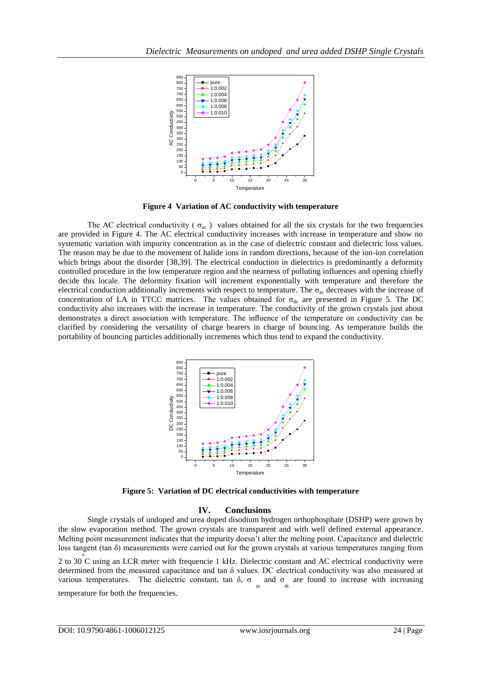

**Figure 4 Variation of AC conductivity with temperature**

The AC electrical conductivity ( $\sigma_{ac}$ ) values obtained for all the six crystals for the two frequencies are provided in Figure 4. The AC electrical conductivity increases with increase in temperature and show no systematic variation with impurity concentration as in the case of dielectric constant and dielectric loss values. The reason may be due to the movement of halide ions in random directions, because of the ion-ion correlation which brings about the disorder [38,39]. The electrical conduction in dielectrics is predominantly a deformity controlled procedure in the low temperature region and the nearness of polluting influences and opening chiefly decide this locale. The deformity fixation will increment exponentially with temperature and therefore the electrical conduction additionally increments with respect to temperature. The  $\sigma_{ac}$  decreases with the increase of concentration of LA in TTCC matrices. The values obtained for  $\sigma_{dc}$  are presented in Figure 5. The DC conductivity also increases with the increase in temperature. The conductivity of the grown crystals just about demonstrates a direct association with temperature. The influence of the temperature on conductivity can be clarified by considering the versatility of charge bearers in charge of bouncing. As temperature builds the portability of bouncing particles additionally increments which thus tend to expand the conductivity.



**Figure 5: Variation of DC electrical conductivities with temperature**

## **IV. Conclusions**

Single crystals of undoped and urea doped disodium hydrogen orthophosphate (DSHP) were grown by the slow evaporation method. The grown crystals are transparent and with well defined external appearance. Melting point measurement indicates that the impurity doesn't alter the melting point. Capacitance and dielectric loss tangent (tan δ) measurements were carried out for the grown crystals at various temperatures ranging from

2 to 30 C using an LCR meter with frequencie 1 kHz. Dielectric constant and AC electrical conductivity were determined from the measured capacitance and tan δ values. DC electrical conductivity was also measured at various temperatures. The dielectric constant, tan  $\delta$ ,  $\sigma_{ac}$  and  $\sigma_{dc}$  are found to increase with increasing temperature for both the frequencies.